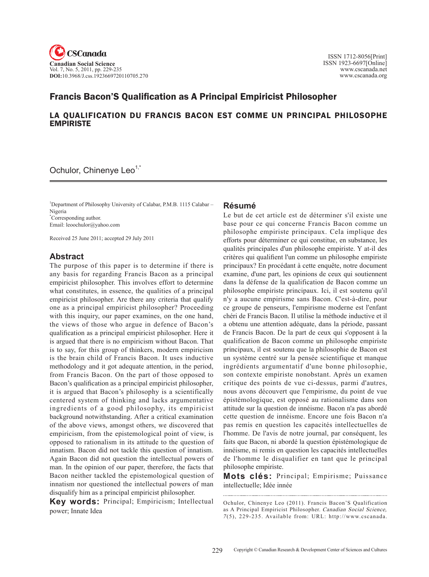

# Francis Bacon'S Qualification as A Principal Empiricist Philosopher

# LA QUALIFICATION DU FRANCIS BACON EST COMME UN PRINCIPAL PHILOSOPHE EMPIRISTE

Ochulor, Chinenye Leo<sup>1,\*</sup>

<sup>1</sup>Department of Philosophy University of Calabar, P.M.B. 1115 Calabar -Nigeria \* Corresponding author. Email: leoochulor@yahoo.com

Received 25 June 2011; accepted 29 July 2011

# **Abstract**

The purpose of this paper is to determine if there is any basis for regarding Francis Bacon as a principal empiricist philosopher. This involves effort to determine what constitutes, in essence, the qualities of a principal empiricist philosopher. Are there any criteria that qualify one as a principal empiricist philosopher? Proceeding with this inquiry, our paper examines, on the one hand, the views of those who argue in defence of Bacon's qualification as a principal empiricist philosopher. Here it is argued that there is no empiricism without Bacon. That is to say, for this group of thinkers, modern empiricism is the brain child of Francis Bacon. It uses inductive methodology and it got adequate attention, in the period, from Francis Bacon. On the part of those opposed to Bacon's qualification as a principal empiricist philosopher, it is argued that Bacon's philosophy is a scientifically centered system of thinking and lacks argumentative ingredients of a good philosophy, its empiricist background notwithstanding. After a critical examination of the above views, amongst others, we discovered that empiricism, from the epistemological point of view, is opposed to rationalism in its attitude to the question of innatism. Bacon did not tackle this question of innatism. Again Bacon did not question the intellectual powers of man. In the opinion of our paper, therefore, the facts that Bacon neither tackled the epistemological question of innatism nor questioned the intellectual powers of man disqualify him as a principal empiricist philosopher.

**Key words:** Principal; Empiricism; Intellectual power; Innate Idea

#### **Résumé**

Le but de cet article est de déterminer s'il existe une base pour ce qui concerne Francis Bacon comme un philosophe empiriste principaux. Cela implique des efforts pour déterminer ce qui constitue, en substance, les qualités principales d'un philosophe empiriste. Y at-il des critères qui qualifient l'un comme un philosophe empiriste principaux? En procédant à cette enquête, notre document examine, d'une part, les opinions de ceux qui soutiennent dans la défense de la qualification de Bacon comme un philosophe empiriste principaux. Ici, il est soutenu qu'il n'y a aucune empirisme sans Bacon. C'est-à-dire, pour ce groupe de penseurs, l'empirisme moderne est l'enfant chéri de Francis Bacon. Il utilise la méthode inductive et il a obtenu une attention adéquate, dans la période, passant de Francis Bacon. De la part de ceux qui s'opposent à la qualification de Bacon comme un philosophe empiriste principaux, il est soutenu que la philosophie de Bacon est un système centré sur la pensée scientifique et manque ingrédients argumentatif d'une bonne philosophie, son contexte empiriste nonobstant. Après un examen critique des points de vue ci-dessus, parmi d'autres, nous avons découvert que l'empirisme, du point de vue épistémologique, est opposé au rationalisme dans son attitude sur la question de innéisme. Bacon n'a pas abordé cette question de innéisme. Encore une fois Bacon n'a pas remis en question les capacités intellectuelles de l'homme. De l'avis de notre journal, par conséquent, les faits que Bacon, ni abordé la question épistémologique de innéisme, ni remis en question les capacités intellectuelles de l'homme le disqualifier en tant que le principal philosophe empiriste.

**Mots clés:** Principal; Empirisme; Puissance intellectuelle; Idée innée

Ochulor, Chinenye Leo (2011). Francis Bacon'S Qualification as A Principal Empiricist Philosopher. Canadian Social Science, <sup>7</sup> (5), 229-235. Available from: URL: http://www.cscanada.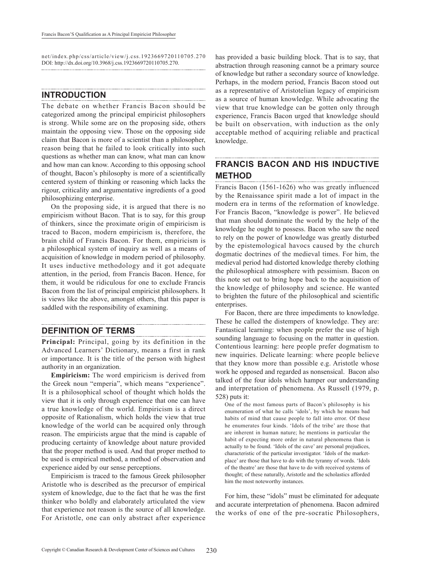net/index.php/css/article/view/j.css.1923669720110705.270 DOI: http://dx.doi.org/10.3968/j.css.1923669720110705.270.

# **INTRODUCTION**

The debate on whether Francis Bacon should be categorized among the principal empiricist philosophers is strong. While some are on the proposing side, others maintain the opposing view. Those on the opposing side claim that Bacon is more of a scientist than a philosopher, reason being that he failed to look critically into such questions as whether man can know, what man can know and how man can know. According to this opposing school of thought, Bacon's philosophy is more of a scientifically centered system of thinking or reasoning which lacks the rigour, criticality and argumentative ingredients of a good philosophizing enterprise.

On the proposing side, it is argued that there is no empiricism without Bacon. That is to say, for this group of thinkers, since the proximate origin of empiricism is traced to Bacon, modern empiricism is, therefore, the brain child of Francis Bacon. For them, empiricism is a philosophical system of inquiry as well as a means of acquisition of knowledge in modern period of philosophy. It uses inductive methodology and it got adequate attention, in the period, from Francis Bacon. Hence, for them, it would be ridiculous for one to exclude Francis Bacon from the list of principal empiricist philosophers. It is views like the above, amongst others, that this paper is saddled with the responsibility of examining.

### **DEFINITION OF TERMS**

**Principal:** Principal, going by its definition in the Advanced Learners' Dictionary, means a first in rank or importance. It is the title of the person with highest authority in an organization.

**Empiricism:** The word empiricism is derived from the Greek noun "emperia", which means "experience". It is a philosophical school of thought which holds the view that it is only through experience that one can have a true knowledge of the world. Empiricism is a direct opposite of Rationalism, which holds the view that true knowledge of the world can be acquired only through reason. The empiricists argue that the mind is capable of producing certainty of knowledge about nature provided that the proper method is used. And that proper method to be used is empirical method, a method of observation and experience aided by our sense perceptions.

Empiricism is traced to the famous Greek philosopher Aristotle who is described as the precursor of empirical system of knowledge, due to the fact that he was the first thinker who boldly and elaborately articulated the view that experience not reason is the source of all knowledge. For Aristotle, one can only abstract after experience

has provided a basic building block. That is to say, that abstraction through reasoning cannot be a primary source of knowledge but rather a secondary source of knowledge. Perhaps, in the modern period, Francis Bacon stood out as a representative of Aristotelian legacy of empiricism as a source of human knowledge. While advocating the view that true knowledge can be gotten only through experience, Francis Bacon urged that knowledge should be built on observation, with induction as the only acceptable method of acquiring reliable and practical knowledge.

#### **FRANCIS BACON AND HIS INDUCTIVE METHOD**

Francis Bacon (1561-1626) who was greatly influenced by the Renaissance spirit made a lot of impact in the modern era in terms of the reformation of knowledge. For Francis Bacon, "knowledge is power". He believed that man should dominate the world by the help of the knowledge he ought to possess. Bacon who saw the need to rely on the power of knowledge was greatly disturbed by the epistemological havocs caused by the church dogmatic doctrines of the medieval times. For him, the medieval period had distorted knowledge thereby clothing the philosophical atmosphere with pessimism. Bacon on this note set out to bring hope back to the acquisition of the knowledge of philosophy and science. He wanted to brighten the future of the philosophical and scientific enterprises.

For Bacon, there are three impediments to knowledge. These he called the distempers of knowledge. They are: Fantastical learning: when people prefer the use of high sounding language to focusing on the matter in question. Contentious learning: here people prefer dogmatism to new inquiries. Delicate learning: where people believe that they know more than possible e.g. Aristotle whose work he opposed and regarded as nonsensical. Bacon also talked of the four idols which hamper our understanding and interpretation of phenomena. As Russell (1979, p. 528) puts it:

One of the most famous parts of Bacon's philosophy is his enumeration of what he calls 'idols', by which he means bad habits of mind that cause people to fall into error. Of these he enumerates four kinds. 'Idols of the tribe' are those that are inherent in human nature; he mentions in particular the habit of expecting more order in natural phenomena than is actually to be found. 'Idols of the cave' are personal prejudices, characteristic of the particular investigator. 'Idols of the marketplace' are those that have to do with the tyranny of words. 'Idols of the theatre' are those that have to do with received systems of thought; of these naturally, Aristotle and the scholastics afforded him the most noteworthy instances.

For him, these "idols" must be eliminated for adequate and accurate interpretation of phenomena. Bacon admired the works of one of the pre-socratic Philosophers,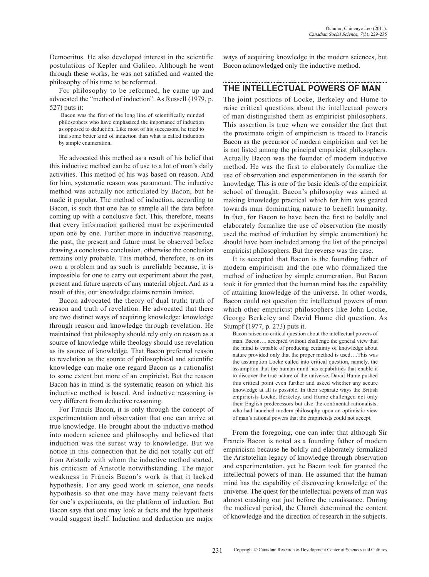Democritus. He also developed interest in the scientific postulations of Kepler and Galileo. Although he went through these works, he was not satisfied and wanted the philosophy of his time to be reformed.

For philosophy to be reformed, he came up and advocated the "method of induction". As Russell (1979, p. 527) puts it:

 Bacon was the first of the long line of scientifically minded philosophers who have emphasized the importance of induction as opposed to deduction. Like most of his successors, he tried to find some better kind of induction than what is called induction by simple enumeration.

He advocated this method as a result of his belief that this inductive method can be of use to a lot of man's daily activities. This method of his was based on reason. And for him, systematic reason was paramount. The inductive method was actually not articulated by Bacon, but he made it popular. The method of induction, according to Bacon, is such that one has to sample all the data before coming up with a conclusive fact. This, therefore, means that every information gathered must be experimented upon one by one. Further more in inductive reasoning, the past, the present and future must be observed before drawing a conclusive conclusion, otherwise the conclusion remains only probable. This method, therefore, is on its own a problem and as such is unreliable because, it is impossible for one to carry out experiment about the past, present and future aspects of any material object. And as a result of this, our knowledge claims remain limited.

Bacon advocated the theory of dual truth: truth of reason and truth of revelation. He advocated that there are two distinct ways of acquiring knowledge: knowledge through reason and knowledge through revelation. He maintained that philosophy should rely only on reason as a source of knowledge while theology should use revelation as its source of knowledge. That Bacon preferred reason to revelation as the source of philosophical and scientific knowledge can make one regard Bacon as a rationalist to some extent but more of an empiricist. But the reason Bacon has in mind is the systematic reason on which his inductive method is based. And inductive reasoning is very different from deductive reasoning.

For Francis Bacon, it is only through the concept of experimentation and observation that one can arrive at true knowledge. He brought about the inductive method into modern science and philosophy and believed that induction was the surest way to knowledge. But we notice in this connection that he did not totally cut off from Aristotle with whom the inductive method started, his criticism of Aristotle notwithstanding. The major weakness in Francis Bacon's work is that it lacked hypothesis. For any good work in science, one needs hypothesis so that one may have many relevant facts for one's experiments, on the platform of induction. But Bacon says that one may look at facts and the hypothesis would suggest itself. Induction and deduction are major

ways of acquiring knowledge in the modern sciences, but Bacon acknowledged only the inductive method.

## **THE INTELLECTUAL POWERS OF MAN**

The joint positions of Locke, Berkeley and Hume to raise critical questions about the intellectual powers of man distinguished them as empiricist philosophers. This assertion is true when we consider the fact that the proximate origin of empiricism is traced to Francis Bacon as the precursor of modern empiricism and yet he is not listed among the principal empiricist philosophers. Actually Bacon was the founder of modern inductive method. He was the first to elaborately formalize the use of observation and experimentation in the search for knowledge. This is one of the basic ideals of the empiricist school of thought. Bacon's philosophy was aimed at making knowledge practical which for him was geared towards man dominating nature to benefit humanity. In fact, for Bacon to have been the first to boldly and elaborately formalize the use of observation (he mostly used the method of induction by simple enumeration) he should have been included among the list of the principal empiricist philosophers. But the reverse was the case.

It is accepted that Bacon is the founding father of modern empiricism and the one who formalized the method of induction by simple enumeration. But Bacon took it for granted that the human mind has the capability of attaining knowledge of the universe. In other words, Bacon could not question the intellectual powers of man which other empiricist philosophers like John Locke, George Berkeley and David Hume did question. As Stumpf (1977, p. 273) puts it.

Bacon raised no critical question about the intellectual powers of man. Bacon…. accepted without challenge the general view that the mind is capable of producing certainty of knowledge about nature provided only that the proper method is used….This was the assumption Locke called into critical question, namely, the assumption that the human mind has capabilities that enable it to discover the true nature of the universe. David Hume pushed this critical point even further and asked whether any secure knowledge at all is possible. In their separate ways the British empiricists Locke, Berkeley, and Hume challenged not only their English predecessors but also the continental rationalists, who had launched modern philosophy upon an optimistic view of man's rational powers that the empiricists could not accept.

From the foregoing, one can infer that although Sir Francis Bacon is noted as a founding father of modern empiricism because he boldly and elaborately formalized the Aristotelian legacy of knowledge through observation and experimentation, yet he Bacon took for granted the intellectual powers of man. He assumed that the human mind has the capability of discovering knowledge of the universe. The quest for the intellectual powers of man was almost crashing out just before the renaissance. During the medieval period, the Church determined the content of knowledge and the direction of research in the subjects.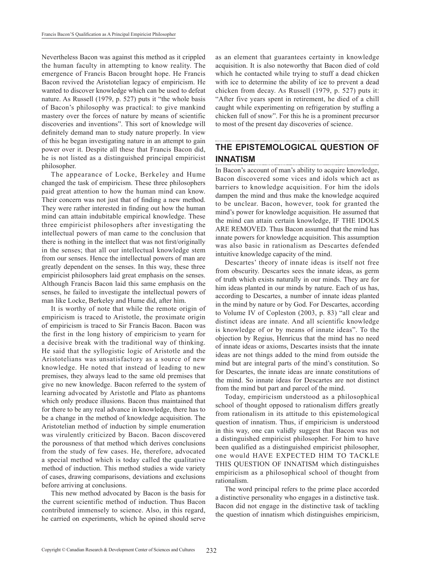Nevertheless Bacon was against this method as it crippled the human faculty in attempting to know reality. The emergence of Francis Bacon brought hope. He Francis Bacon revived the Aristotelian legacy of empiricism. He wanted to discover knowledge which can be used to defeat nature. As Russell (1979, p. 527) puts it "the whole basis of Bacon's philosophy was practical: to give mankind mastery over the forces of nature by means of scientific discoveries and inventions". This sort of knowledge will definitely demand man to study nature properly. In view of this he began investigating nature in an attempt to gain power over it. Despite all these that Francis Bacon did, he is not listed as a distinguished principal empiricist philosopher.

The appearance of Locke, Berkeley and Hume changed the task of empiricism. These three philosophers paid great attention to how the human mind can know. Their concern was not just that of finding a new method. They were rather interested in finding out how the human mind can attain indubitable empirical knowledge. These three empiricist philosophers after investigating the intellectual powers of man came to the conclusion that there is nothing in the intellect that was not first/originally in the senses; that all our intellectual knowledge stem from our senses. Hence the intellectual powers of man are greatly dependent on the senses. In this way, these three empiricist philosophers laid great emphasis on the senses. Although Francis Bacon laid this same emphasis on the senses, he failed to investigate the intellectual powers of man like Locke, Berkeley and Hume did, after him.

It is worthy of note that while the remote origin of empiricism is traced to Aristotle, the proximate origin of empiricism is traced to Sir Francis Bacon. Bacon was the first in the long history of empiricism to yearn for a decisive break with the traditional way of thinking. He said that the syllogistic logic of Aristotle and the Aristotelians was unsatisfactory as a source of new knowledge. He noted that instead of leading to new premises, they always lead to the same old premises that give no new knowledge. Bacon referred to the system of learning advocated by Aristotle and Plato as phantoms which only produce illusions. Bacon thus maintained that for there to be any real advance in knowledge, there has to be a change in the method of knowledge acquisition. The Aristotelian method of induction by simple enumeration was virulently criticized by Bacon. Bacon discovered the porousness of that method which derives conclusions from the study of few cases. He, therefore, advocated a special method which is today called the qualitative method of induction. This method studies a wide variety of cases, drawing comparisons, deviations and exclusions before arriving at conclusions.

This new method advocated by Bacon is the basis for the current scientific method of induction. Thus Bacon contributed immensely to science. Also, in this regard, he carried on experiments, which he opined should serve as an element that guarantees certainty in knowledge acquisition. It is also noteworthy that Bacon died of cold which he contacted while trying to stuff a dead chicken with ice to determine the ability of ice to prevent a dead chicken from decay. As Russell (1979, p. 527) puts it: "After five years spent in retirement, he died of a chill caught while experimenting on refrigeration by stuffing a chicken full of snow". For this he is a prominent precursor to most of the present day discoveries of science.

#### **THE EPISTEMOLOGICAL QUESTION OF INNATISM**

In Bacon's account of man's ability to acquire knowledge, Bacon discovered some vices and idols which act as barriers to knowledge acquisition. For him the idols dampen the mind and thus make the knowledge acquired to be unclear. Bacon, however, took for granted the mind's power for knowledge acquisition. He assumed that the mind can attain certain knowledge, IF THE IDOLS ARE REMOVED. Thus Bacon assumed that the mind has innate powers for knowledge acquisition. This assumption was also basic in rationalism as Descartes defended intuitive knowledge capacity of the mind.

Descartes' theory of innate ideas is itself not free from obscurity. Descartes sees the innate ideas, as germ of truth which exists naturally in our minds. They are for him ideas planted in our minds by nature. Each of us has, according to Descartes, a number of innate ideas planted in the mind by nature or by God. For Descartes, according to Volume IV of Copleston (2003, p. 83) "all clear and distinct ideas are innate. And all scientific knowledge is knowledge of or by means of innate ideas". To the objection by Regius, Henricus that the mind has no need of innate ideas or axioms, Descartes insists that the innate ideas are not things added to the mind from outside the mind but are integral parts of the mind's constitution. So for Descartes, the innate ideas are innate constitutions of the mind. So innate ideas for Descartes are not distinct from the mind but part and parcel of the mind.

Today, empiricism understood as a philosophical school of thought opposed to rationalism differs greatly from rationalism in its attitude to this epistemological question of innatism. Thus, if empiricism is understood in this way, one can validly suggest that Bacon was not a distinguished empiricist philosopher. For him to have been qualified as a distinguished empiricist philosopher, one would HAVE EXPECTED HIM TO TACKLE THIS QUESTION OF INNATISM which distinguishes empiricism as a philosophical school of thought from rationalism.

The word principal refers to the prime place accorded a distinctive personality who engages in a distinctive task. Bacon did not engage in the distinctive task of tackling the question of innatism which distinguishes empiricism,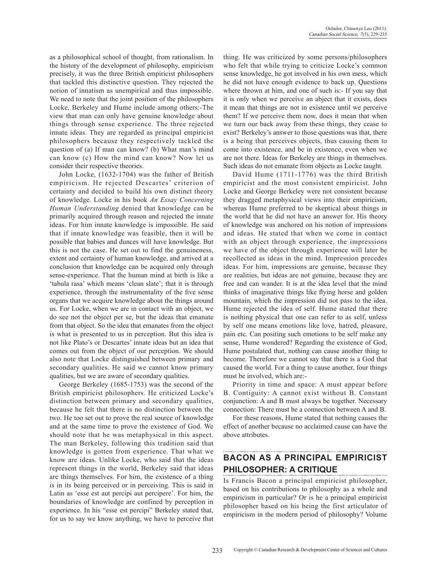as a philosophical school of thought, from rationalism. In the history of the development of philosophy, empiricism precisely, it was the three British empiricist philosophers that tackled this distinctive question. They rejected the notion of innatism as unempirical and thus impossible. We need to note that the joint position of the philosophers Locke, Berkeley and Hume include among others:-The view that man can only have genuine knowledge about things through sense experience. The three rejected innate ideas. They are regarded as principal empiricist philosophers because they respectively tackled the question of (a) If man can know? (b) What man's mind can know (c) How the mind can know? Now let us consider their respective theories.

John Locke, (1632-1704) was the father of British empiricism. He rejected Descartes' criterion of certainty and decided to build his own distinct theory of knowledge. Locke in his book *An Essay Concerning Human Understanding* denied that knowledge can be primarily acquired through reason and rejected the innate ideas. For him innate knowledge is impossible. He said that if innate knowledge was feasible, then it will be possible that babies and dunces will have knowledge. But this is not the case. He set out to find the genuineness, extent and certainty of human knowledge, and arrived at a conclusion that knowledge can be acquired only through sense-experience. That the human mind at birth is like a 'tabula rasa' which means 'clean slate'; that it is through experience, through the instrumentality of the five sense organs that we acquire knowledge about the things around us. For Locke, when we are in contact with an object, we do see not the object per se, but the ideas that emanate from that object. So the idea that emanates from the object is what is presented to us in perception. But this idea is not like Plato's or Descartes' innate ideas but an idea that comes out from the object of our perception. We should also note that Locke distinguished between primary and secondary qualities. He said we cannot know primary qualities, but we are aware of secondary qualities.

George Berkeley (1685-1753) was the second of the British empiricist philosophers. He criticized Locke's distinction between primary and secondary qualities, because he felt that there is no distinction between the two. He too set out to prove the real source of knowledge and at the same time to prove the existence of God. We should note that he was metaphysical in this aspect. The man Berkeley, following this tradition said that knowledge is gotten from experience. That what we know are ideas. Unlike Locke, who said that the ideas represent things in the world, Berkeley said that ideas are things themselves. For him, the existence of a thing is in its being perceived or in perceiving. This is said in Latin as 'esse est aut percipi aut percipere'. For him, the boundaries of knowledge are confined by perception in experience. In his "esse est percipi" Berkeley stated that, for us to say we know anything, we have to perceive that

thing. He was criticized by some persons/philosophers who felt that while trying to criticize Locke's common sense knowledge, he got involved in his own mess, which he did not have enough evidence to back up. Questions where thrown at him, and one of such is:- If you say that it is only when we perceive an abject that it exists, does it mean that things are not in existence until we perceive them? If we perceive them now, does it mean that when we turn our back away from these things, they cease to exist? Berkeley's answer to those questions was that, there is a being that perceives objects, thus causing them to come into existence, and be in existence, even when we are not there. Ideas for Berkeley are things in themselves. Such ideas do not emanate from objects as Locke taught.

David Hume (1711-1776) was the third British empiricist and the most consistent empiricist. John Locke and George Berkeley were not consistent because they dragged metaphysical views into their empiricism, whereas Hume preferred to be skeptical about things in the world that he did not have an answer for. His theory of knowledge was anchored on his notion of impressions and ideas. He stated that when we come in contact with an object through experience, the impressions we have of the object through experience will later be recollected as ideas in the mind. Impression precedes ideas. For him, impressions are genuine, because they are realities, but ideas are not genuine, because they are free and can wander. It is at the idea level that the mind thinks of imaginative things like flying horse and golden mountain, which the impression did not pass to the idea. Hume rejected the idea of self. Hume stated that there is nothing physical that one can refer to as self, unless by self one means emotions like love, hatred, pleasure, pain etc. Can positing such emotions to be self make any sense, Hume wondered? Regarding the existence of God, Hume postulated that, nothing can cause another thing to become. Therefore we cannot say that there is a God that caused the world. For a thing to cause another, four things must be involved, which are:-

Priority in time and space: A must appear before B. Contiguity: A cannot exist without B. Constant conjunction: A and B must always be together. Necessary connection: There must be a connection between A and B.

For these reasons, Hume stated that nothing causes the effect of another because no acclaimed cause can have the above attributes.

# **BACON AS A PRINCIPAL EMPIRICIST PHILOSOPHER: A CRITIQUE**

Is Francis Bacon a principal empiricist philosopher, based on his contributions to philosophy as a whole and empiricism in particular? Or is he a principal empiricist philosopher based on his being the first articulator of empiricism in the modern period of philosophy? Volume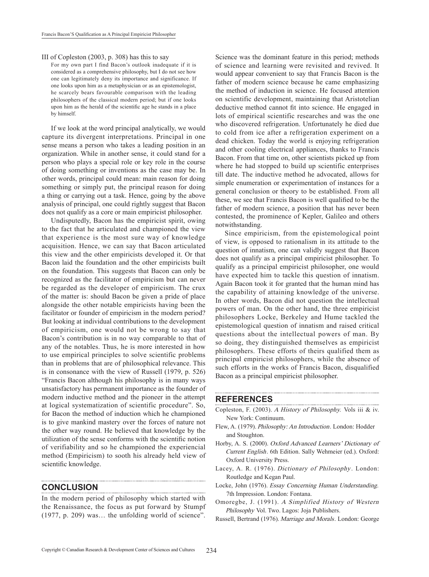#### III of Copleston (2003, p. 308) has this to say

For my own part I find Bacon's outlook inadequate if it is considered as a comprehensive philosophy, but I do not see how one can legitimately deny its importance and significance. If one looks upon him as a metaphysician or as an epistemologist, he scarcely bears favourable comparison with the leading philosophers of the classical modern period; but if one looks upon him as the herald of the scientific age he stands in a place by himself.

If we look at the word principal analytically, we would capture its divergent interpretations. Principal in one sense means a person who takes a leading position in an organization. While in another sense, it could stand for a person who plays a special role or key role in the course of doing something or inventions as the case may be. In other words, principal could mean: main reason for doing something or simply put, the principal reason for doing a thing or carrying out a task. Hence, going by the above analysis of principal, one could rightly suggest that Bacon does not qualify as a core or main empiricist philosopher.

Undisputedly, Bacon has the empiricist spirit, owing to the fact that he articulated and championed the view that experience is the most sure way of knowledge acquisition. Hence, we can say that Bacon articulated this view and the other empiricists developed it. Or that Bacon laid the foundation and the other empiricists built on the foundation. This suggests that Bacon can only be recognized as the facilitator of empiricism but can never be regarded as the developer of empiricism. The crux of the matter is: should Bacon be given a pride of place alongside the other notable empiricists having been the facilitator or founder of empiricism in the modern period? But looking at individual contributions to the development of empiricism, one would not be wrong to say that Bacon's contribution is in no way comparable to that of any of the notables. Thus, he is more interested in how to use empirical principles to solve scientific problems than in problems that are of philosophical relevance. This is in consonance with the view of Russell (1979, p. 526) "Francis Bacon although his philosophy is in many ways unsatisfactory has permanent importance as the founder of modern inductive method and the pioneer in the attempt at logical systematization of scientific procedure". So, for Bacon the method of induction which he championed is to give mankind mastery over the forces of nature not the other way round. He believed that knowledge by the utilization of the sense conforms with the scientific notion of verifiability and so he championed the experiencial method (Empiricism) to sooth his already held view of scientific knowledge.

#### **CONCLUSION**

In the modern period of philosophy which started with the Renaissance, the focus as put forward by Stumpf (1977, p. 209) was… the unfolding world of science".

Science was the dominant feature in this period; methods of science and learning were revisited and revived. It would appear convenient to say that Francis Bacon is the father of modern science because he came emphasizing the method of induction in science. He focused attention on scientific development, maintaining that Aristotelian deductive method cannot fit into science. He engaged in lots of empirical scientific researches and was the one who discovered refrigeration. Unfortunately he died due to cold from ice after a refrigeration experiment on a dead chicken. Today the world is enjoying refrigeration and other cooling electrical appliances, thanks to Francis Bacon. From that time on, other scientists picked up from where he had stopped to build up scientific enterprises till date. The inductive method he advocated, allows for simple enumeration or experimentation of instances for a general conclusion or theory to be established. From all these, we see that Francis Bacon is well qualified to be the father of modern science, a position that has never been contested, the prominence of Kepler, Galileo and others notwithstanding.

Since empiricism, from the epistemological point of view, is opposed to rationalism in its attitude to the question of innatism, one can validly suggest that Bacon does not qualify as a principal empiricist philosopher. To qualify as a principal empiricist philosopher, one would have expected him to tackle this question of innatism. Again Bacon took it for granted that the human mind has the capability of attaining knowledge of the universe. In other words, Bacon did not question the intellectual powers of man. On the other hand, the three empiricist philosophers Locke, Berkeley and Hume tackled the epistemological question of innatism and raised critical questions about the intellectual powers of man. By so doing, they distinguished themselves as empiricist philosophers. These efforts of theirs qualified them as principal empiricist philosophers, while the absence of such efforts in the works of Francis Bacon, disqualified Bacon as a principal empiricist philosopher.

#### **REFERENCES**

Copleston, F. (2003). A History of Philosophy. Vols iii & iv. New York: Continuum.

- Flew, A. (1979). Philosophy: An Introduction. London: Hodder and Stoughton.
- Horby, A. S. (2000). Oxford Advanced Learners' Dictionary of Current English. 6th Edition. Sally Wehmeier (ed.). Oxford: Oxford University Press.
- Lacey, A. R. (1976). Dictionary of Philosophy. London: Routledge and Kegan Paul.
- Locke, John (1976). Essay Concerning Human Understanding. 7th Impression. London: Fontana.
- Omoregbe, J. (1991). A Simplified History of Western Philosophy Vol. Two. Lagos: Joja Publishers.
- Russell, Bertrand (1976). Marriage and Morals. London: George